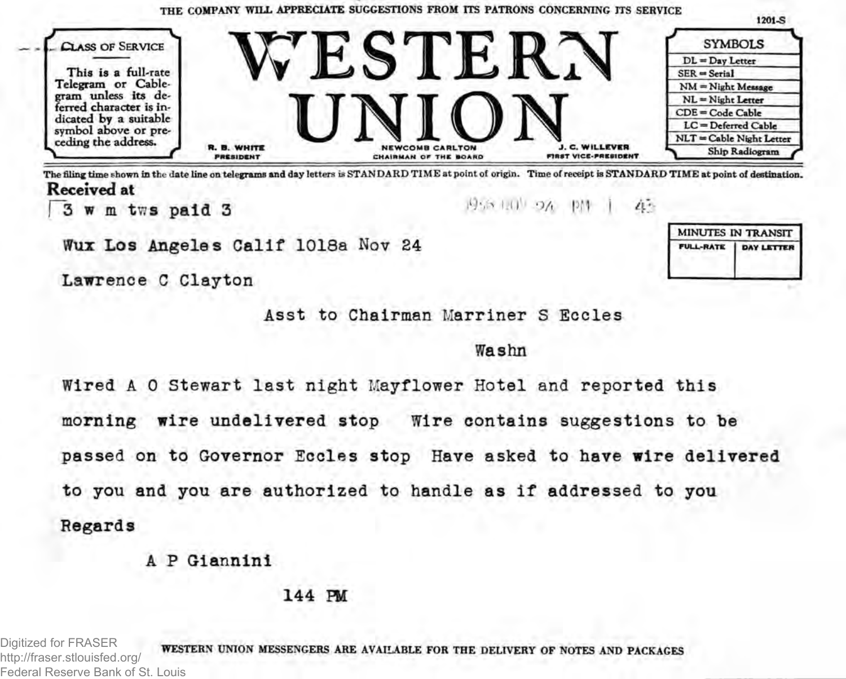

The filing time shown in the date line on telegrams and day letters is STANDARD TIME at point of origin. Time of receipt is STANDARD TIME at point of destination. **Received at**

**3** w m tws paid 3 **1960 1960 1970 1970 1980 1980** 

Wux Los Angeles Calif 1018a **Nov** 24

Lawrence C Clayton



Washn

MINUTES IN TRANSIT

DAY LETTER

**FULL-RATE** 

Wired A 0 Stewart last night Mayflower Hotel **and** reported this morning wire undelivered stop Wire contains suggestions to be passed on to Governor Eccles stop Have asked to have wire delivered to you and you are authorized to handle as if addressed to you Regards

A P Giannini

144 PM

Digitized for FRASER http://fraser.stlouisfed.org/ Federal Reserve Bank of St. Louis

WESTERN UNION MESSENGERS ARE AVAILABLE FOR THE DELIVERY OF NOTES AND PACKAGES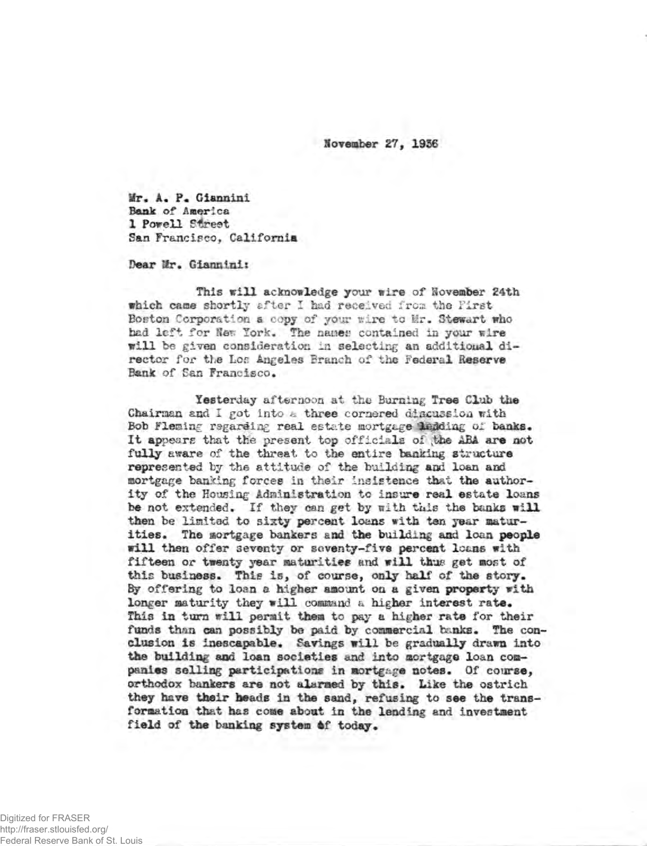**November 27, 1956**

**Mr,** A. **F. Giannini Bank of America 1 Powell Street San Francisco, California**

**Dear Hr. Giannini:**

This will acknowledge your wire of **November** 24th **which came** shortly after I had received frost the First Boston Corporation a copy of your wire to Mr. Stewart who had left for Hem York. The names contained in your wire will be given consideration in selecting **an** additioual director for the **I.**of! Angeles Branch of the Federal **Reserve** Bank of San Francisco.

Yesterday afternoon at the Burning Tree Club the Chairman and I got into & three cornered discussion with Bob Fleming regarding real estate mortgage ledding of banks. **It** appears that the present top officials *ol* **vthe ABA are not fully** aware of the threat to the entire banking **structure represented by** the attitude of the building and loan and mortgage banking forces in their insistence that **the authority** of **the** Housing **Administration** to **insure real estate loans be** not extended. If they can get **by** Kith this the **banks will then** be limited **to sixty percent loans with ten year maturities. The mortgage bankers and the building and loan people will then offer** seventy or **seventy-five percent leans with fifteen or twenty year maturities** and **will thur get most of this business. This is, of course, only half' of the story. By offering to loan a higher amount on a given property with longer maturity they will command** a **higher interest rate. This in turn will permit them to pay a higher rate for their funds than can possibly be paid by commercial hanks. The conclusion is inescapable. Savings will** be **gradually drawn into** the building and loan societies and into mortgage loan com**panies selling participations in mortgage notes. Of course, orthodox bankers are not alarmed by this. Like the ostrich they have their beads in the sand, refusing to see the transformation that has come about in the lending and investment field of the banking system** 6**f today.**

Digitized for FRASER http://fraser.stlouisfed.org/ Federal Reserve Bank of St. Louis